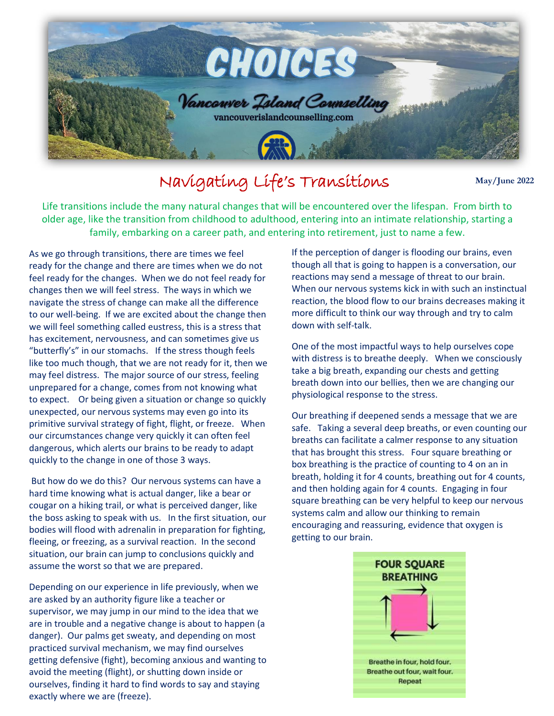

## Navigating Life's Transitions

**May/June 2022**

Life transitions include the many natural changes that will be encountered over the lifespan. From birth to all the the transition from ability of a calilibrary and the continue of a continue of the station of a continue o family, embarking on a career path, and entering into retirement, just to name a few.<br>sh transitions, there are times we feel sure if the percention of danger is flooding our h older age, like the transition from childhood to adulthood, entering into an intimate relationship, starting a

As we go through transitions, there are times we feel ready for the change and there are times when we do not feel ready for the changes. When we do not feel ready for changes then we will feel stress. The ways in which we navigate the stress of change can make all the difference to our well-being. If we are excited about the change then we will feel something called eustress, this is a stress that has excitement, nervousness, and can sometimes give us "butterfly's" in our stomachs. If the stress though feels like too much though, that we are not ready for it, then we may feel distress. The major source of our stress, feeling unprepared for a change, comes from not knowing what to expect. Or being given a situation or change so quickly unexpected, our nervous systems may even go into its primitive survival strategy of fight, flight, or freeze. When our circumstances change very quickly it can often feel dangerous, which alerts our brains to be ready to adapt quickly to the change in one of those 3 ways.

But how do we do this? Our nervous systems can have a hard time knowing what is actual danger, like a bear or cougar on a hiking trail, or what is perceived danger, like the boss asking to speak with us. In the first situation, our bodies will flood with adrenalin in preparation for fighting, fleeing, or freezing, as a survival reaction. In the second situation, our brain can jump to conclusions quickly and assume the worst so that we are prepared.

Depending on our experience in life previously, when we are asked by an authority figure like a teacher or supervisor, we may jump in our mind to the idea that we are in trouble and a negative change is about to happen (a danger). Our palms get sweaty, and depending on most practiced survival mechanism, we may find ourselves getting defensive (fight), becoming anxious and wanting to avoid the meeting (flight), or shutting down inside or ourselves, finding it hard to find words to say and staying exactly where we are (freeze).

If the perception of danger is flooding our brains, even though all that is going to happen is a conversation, our reactions may send a message of threat to our brain. When our nervous systems kick in with such an instinctual reaction, the blood flow to our brains decreases making it more difficult to think our way through and try to calm down with self-talk.

One of the most impactful ways to help ourselves cope with distress is to breathe deeply. When we consciously take a big breath, expanding our chests and getting breath down into our bellies, then we are changing our physiological response to the stress.

Our breathing if deepened sends a message that we are safe. Taking a several deep breaths, or even counting our breaths can facilitate a calmer response to any situation that has brought this stress. Four square breathing or box breathing is the practice of counting to 4 on an in breath, holding it for 4 counts, breathing out for 4 counts, and then holding again for 4 counts. Engaging in four square breathing can be very helpful to keep our nervous systems calm and allow our thinking to remain encouraging and reassuring, evidence that oxygen is getting to our brain.